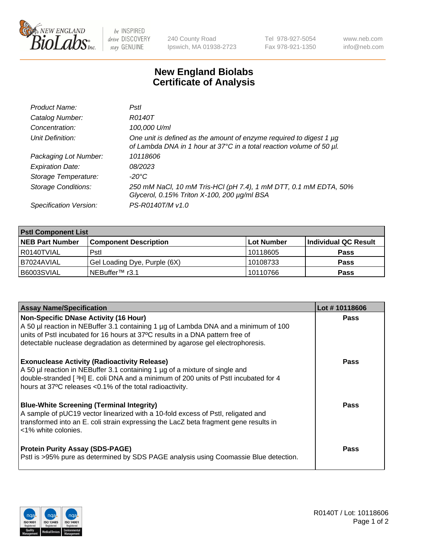

 $be$  INSPIRED drive DISCOVERY stay GENUINE

240 County Road Ipswich, MA 01938-2723 Tel 978-927-5054 Fax 978-921-1350 www.neb.com info@neb.com

## **New England Biolabs Certificate of Analysis**

| Product Name:              | Pstl                                                                                                                                             |
|----------------------------|--------------------------------------------------------------------------------------------------------------------------------------------------|
| Catalog Number:            | R0140T                                                                                                                                           |
| Concentration:             | 100,000 U/ml                                                                                                                                     |
| Unit Definition:           | One unit is defined as the amount of enzyme required to digest 1 $\mu$ g<br>of Lambda DNA in 1 hour at 37°C in a total reaction volume of 50 µl. |
| Packaging Lot Number:      | 10118606                                                                                                                                         |
| <b>Expiration Date:</b>    | 08/2023                                                                                                                                          |
| Storage Temperature:       | -20°C                                                                                                                                            |
| <b>Storage Conditions:</b> | 250 mM NaCl, 10 mM Tris-HCl (pH 7.4), 1 mM DTT, 0.1 mM EDTA, 50%<br>Glycerol, 0.15% Triton X-100, 200 µg/ml BSA                                  |
| Specification Version:     | PS-R0140T/M v1.0                                                                                                                                 |

| <b>PstI Component List</b> |                              |            |                      |  |  |
|----------------------------|------------------------------|------------|----------------------|--|--|
| <b>NEB Part Number</b>     | <b>Component Description</b> | Lot Number | Individual QC Result |  |  |
| I R0140TVIAL               | Pstl                         | 10118605   | <b>Pass</b>          |  |  |
| I B7024AVIAL               | Gel Loading Dye, Purple (6X) | 10108733   | <b>Pass</b>          |  |  |
| B6003SVIAL                 | INEBuffer™ r3.1              | 10110766   | <b>Pass</b>          |  |  |

| <b>Assay Name/Specification</b>                                                                                                                                                                                                                                                                                                                                        | Lot #10118606 |
|------------------------------------------------------------------------------------------------------------------------------------------------------------------------------------------------------------------------------------------------------------------------------------------------------------------------------------------------------------------------|---------------|
| <b>Non-Specific DNase Activity (16 Hour)</b><br>A 50 µl reaction in NEBuffer 3.1 containing 1 µg of Lambda DNA and a minimum of 100<br>units of PstI incubated for 16 hours at 37°C results in a DNA pattern free of                                                                                                                                                   | <b>Pass</b>   |
| detectable nuclease degradation as determined by agarose gel electrophoresis.<br><b>Exonuclease Activity (Radioactivity Release)</b><br>A 50 µl reaction in NEBuffer 3.1 containing 1 µg of a mixture of single and<br>double-stranded [3H] E. coli DNA and a minimum of 200 units of Pstl incubated for 4<br>hours at 37°C releases <0.1% of the total radioactivity. | <b>Pass</b>   |
| <b>Blue-White Screening (Terminal Integrity)</b><br>A sample of pUC19 vector linearized with a 10-fold excess of PstI, religated and<br>transformed into an E. coli strain expressing the LacZ beta fragment gene results in<br><1% white colonies.                                                                                                                    | Pass          |
| <b>Protein Purity Assay (SDS-PAGE)</b><br>Pstl is >95% pure as determined by SDS PAGE analysis using Coomassie Blue detection.                                                                                                                                                                                                                                         | <b>Pass</b>   |